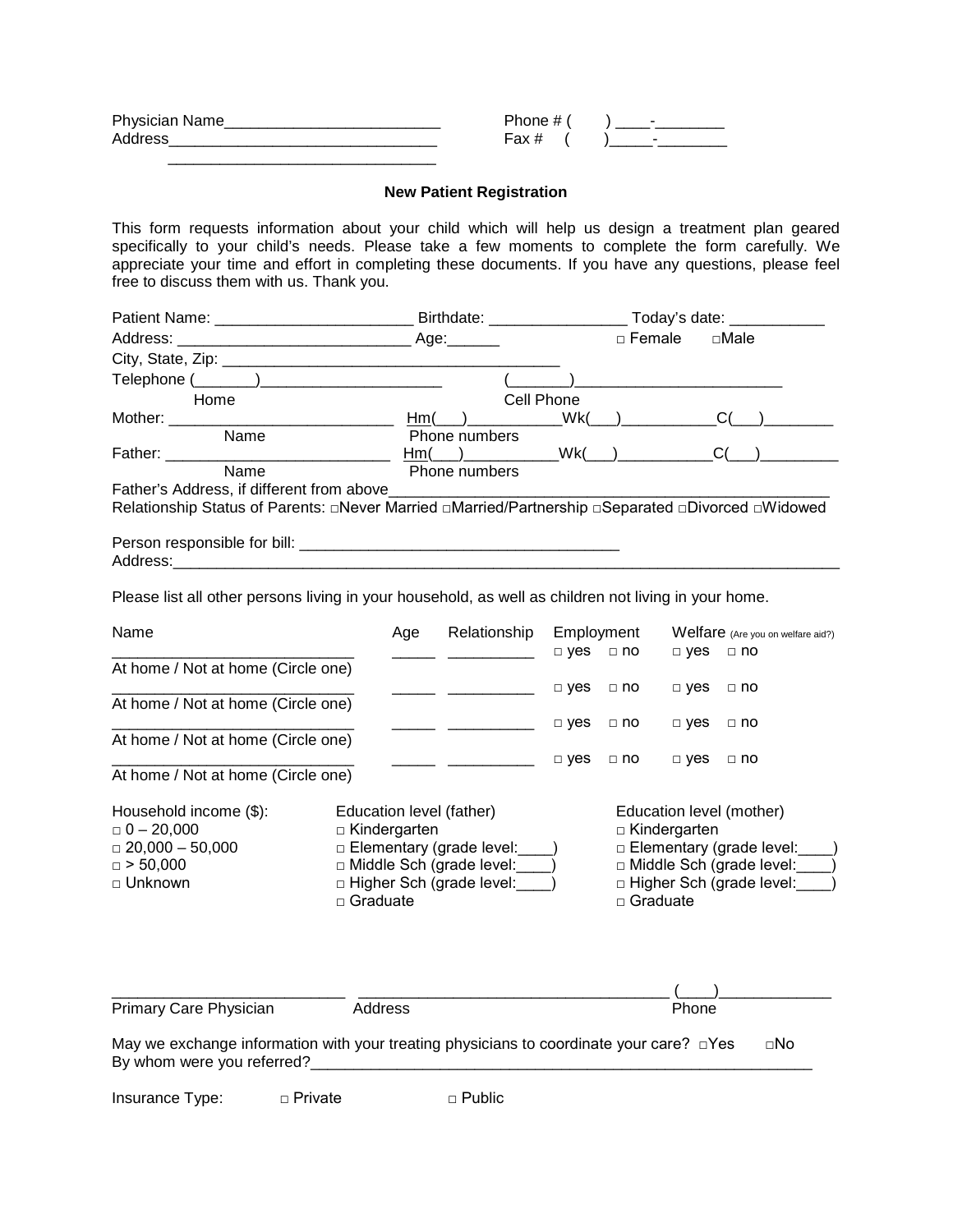| <b>Physician Name</b> | Phone # ( | $\overline{\phantom{a}}$ |
|-----------------------|-----------|--------------------------|
| Addres:               | Fax #     | -                        |
|                       |           |                          |

## **New Patient Registration**

This form requests information about your child which will help us design a treatment plan geared specifically to your child's needs. Please take a few moments to complete the form carefully. We appreciate your time and effort in completing these documents. If you have any questions, please feel free to discuss them with us. Thank you.

| Address:                                                                                             |                                                                                  |     |                                |                                                                                                                         |                      | $\square$ Female |            | $\square$ Male                    |     |
|------------------------------------------------------------------------------------------------------|----------------------------------------------------------------------------------|-----|--------------------------------|-------------------------------------------------------------------------------------------------------------------------|----------------------|------------------|------------|-----------------------------------|-----|
|                                                                                                      |                                                                                  |     |                                |                                                                                                                         |                      |                  |            |                                   |     |
| Telephone (_______)___________________________                                                       |                                                                                  |     |                                | $\sqrt{2}$                                                                                                              |                      |                  |            |                                   |     |
| Home                                                                                                 |                                                                                  |     |                                | Cell Phone                                                                                                              |                      |                  |            |                                   |     |
| Mother: Mother and the Motor State and Table                                                         |                                                                                  |     | Hm( )                          |                                                                                                                         | Wk(                  |                  |            | C(                                |     |
| Name                                                                                                 |                                                                                  |     | Phone numbers                  |                                                                                                                         |                      |                  |            |                                   |     |
|                                                                                                      |                                                                                  |     | $Hm(\underline{\hspace{1cm}})$ |                                                                                                                         | $Wk$ (               |                  |            | C(                                |     |
|                                                                                                      |                                                                                  |     | Phone numbers                  |                                                                                                                         |                      |                  |            |                                   |     |
| Father's Address, if different from above___________                                                 |                                                                                  |     |                                |                                                                                                                         |                      |                  |            |                                   |     |
| Relationship Status of Parents: aNever Married aMarried/Partnership aSeparated aDivorced aWidowed    |                                                                                  |     |                                |                                                                                                                         |                      |                  |            |                                   |     |
|                                                                                                      |                                                                                  |     |                                |                                                                                                                         |                      |                  |            |                                   |     |
|                                                                                                      |                                                                                  |     |                                |                                                                                                                         |                      |                  |            |                                   |     |
|                                                                                                      |                                                                                  |     |                                |                                                                                                                         |                      |                  |            |                                   |     |
| Please list all other persons living in your household, as well as children not living in your home. |                                                                                  |     |                                |                                                                                                                         |                      |                  |            |                                   |     |
|                                                                                                      |                                                                                  |     |                                |                                                                                                                         |                      |                  |            |                                   |     |
| Name                                                                                                 |                                                                                  | Age |                                | Relationship                                                                                                            | Employment           |                  |            | Welfare (Are you on welfare aid?) |     |
|                                                                                                      |                                                                                  |     |                                | <u> The Communication of the Communication of the Communication of the Communication of the Communication of the Co</u> | $\Box$ yes $\Box$ no |                  | $\Box$ yes | $\Box$ no                         |     |
| At home / Not at home (Circle one)                                                                   |                                                                                  |     |                                |                                                                                                                         |                      |                  |            |                                   |     |
|                                                                                                      |                                                                                  |     |                                |                                                                                                                         | □ yes                | $\Box$ no        | $\Box$ yes | $\Box$ no                         |     |
| At home / Not at home (Circle one)                                                                   |                                                                                  |     |                                |                                                                                                                         |                      |                  |            |                                   |     |
|                                                                                                      |                                                                                  |     |                                |                                                                                                                         | $\Box$ yes           | $\Box$ no        | $\neg$ yes | $\Box$ no                         |     |
| At home / Not at home (Circle one)                                                                   |                                                                                  |     |                                |                                                                                                                         |                      |                  |            |                                   |     |
|                                                                                                      |                                                                                  |     |                                |                                                                                                                         | $\Box$ yes           | $\Box$ no        | $\Box$ yes | $\Box$ no                         |     |
| At home / Not at home (Circle one)                                                                   |                                                                                  |     |                                |                                                                                                                         |                      |                  |            |                                   |     |
|                                                                                                      |                                                                                  |     |                                |                                                                                                                         |                      |                  |            |                                   |     |
| Household income (\$):                                                                               | Education level (father)<br>Education level (mother)                             |     |                                |                                                                                                                         |                      |                  |            |                                   |     |
| $= 0 - 20,000$                                                                                       | $\Box$ Kindergarten                                                              |     |                                |                                                                                                                         | $\Box$ Kindergarten  |                  |            |                                   |     |
| $\Box$ 20,000 - 50,000                                                                               | □ Elementary (grade level:<br>□ Elementary (grade level:                         |     |                                |                                                                                                                         |                      |                  |            |                                   |     |
| $\Box$ > 50,000                                                                                      | □ Middle Sch (grade level:<br>□ Middle Sch (grade level:                         |     |                                |                                                                                                                         |                      |                  |            |                                   |     |
| □ Unknown                                                                                            | □ Higher Sch (grade level:<br>$\Box$ Higher Sch (grade level:<br>$\Box$ Graduate |     |                                |                                                                                                                         |                      |                  |            |                                   |     |
| $\Box$ Graduate                                                                                      |                                                                                  |     |                                |                                                                                                                         |                      |                  |            |                                   |     |
|                                                                                                      |                                                                                  |     |                                |                                                                                                                         |                      |                  |            |                                   |     |
|                                                                                                      |                                                                                  |     |                                |                                                                                                                         |                      |                  |            |                                   |     |
|                                                                                                      |                                                                                  |     |                                |                                                                                                                         |                      |                  |            |                                   |     |
|                                                                                                      |                                                                                  |     |                                |                                                                                                                         |                      |                  |            |                                   |     |
| Primary Care Physician                                                                               | Address                                                                          |     |                                |                                                                                                                         |                      |                  | Phone      |                                   |     |
|                                                                                                      |                                                                                  |     |                                |                                                                                                                         |                      |                  |            |                                   |     |
| May we exchange information with your treating physicians to coordinate your care? $\Box$ Yes        |                                                                                  |     |                                |                                                                                                                         |                      |                  |            |                                   | ⊡No |
| By whom were you referred?                                                                           |                                                                                  |     |                                |                                                                                                                         |                      |                  |            |                                   |     |

Insurance Type: □ Private □ □ Public